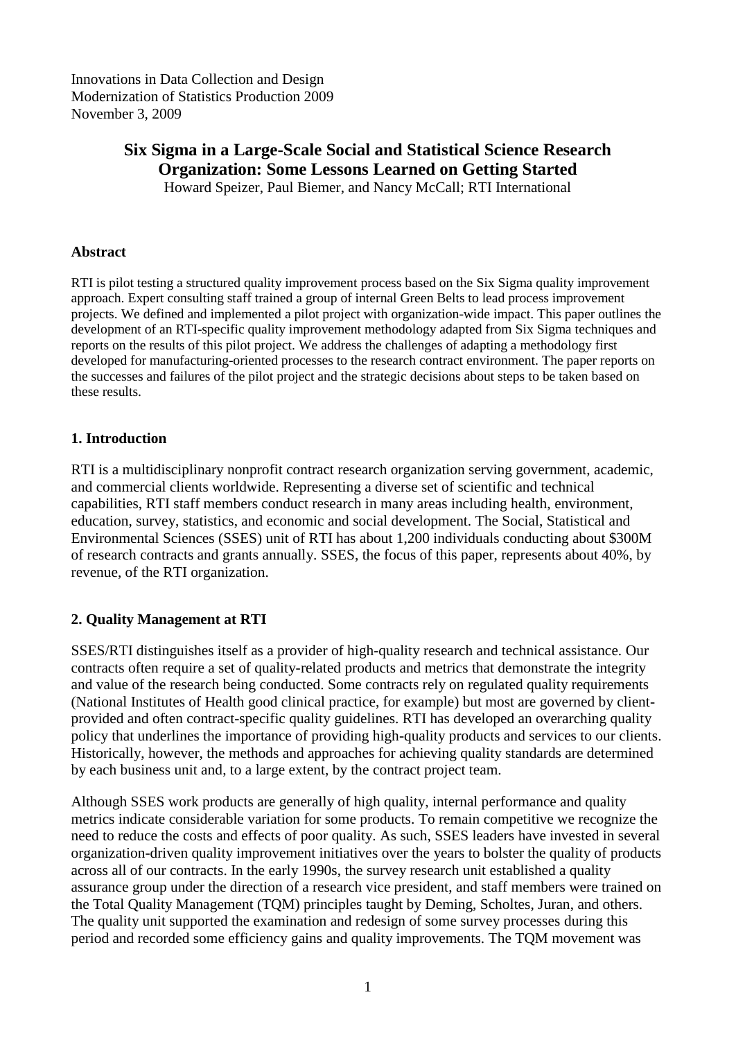Innovations in Data Collection and Design Modernization of Statistics Production 2009 November 3, 2009

# **Six Sigma in a Large-Scale Social and Statistical Science Research Organization: Some Lessons Learned on Getting Started**

Howard Speizer, Paul Biemer, and Nancy McCall; RTI International

#### **Abstract**

RTI is pilot testing a structured quality improvement process based on the Six Sigma quality improvement approach. Expert consulting staff trained a group of internal Green Belts to lead process improvement projects. We defined and implemented a pilot project with organization-wide impact. This paper outlines the development of an RTI-specific quality improvement methodology adapted from Six Sigma techniques and reports on the results of this pilot project. We address the challenges of adapting a methodology first developed for manufacturing-oriented processes to the research contract environment. The paper reports on the successes and failures of the pilot project and the strategic decisions about steps to be taken based on these results.

## **1. Introduction**

RTI is a multidisciplinary nonprofit contract research organization serving government, academic, and commercial clients worldwide. Representing a diverse set of scientific and technical capabilities, RTI staff members conduct research in many areas including health, environment, education, survey, statistics, and economic and social development. The Social, Statistical and Environmental Sciences (SSES) unit of RTI has about 1,200 individuals conducting about \$300M of research contracts and grants annually. SSES, the focus of this paper, represents about 40%, by revenue, of the RTI organization.

# **2. Quality Management at RTI**

SSES/RTI distinguishes itself as a provider of high-quality research and technical assistance. Our contracts often require a set of quality-related products and metrics that demonstrate the integrity and value of the research being conducted. Some contracts rely on regulated quality requirements (National Institutes of Health good clinical practice, for example) but most are governed by clientprovided and often contract-specific quality guidelines. RTI has developed an overarching quality policy that underlines the importance of providing high-quality products and services to our clients. Historically, however, the methods and approaches for achieving quality standards are determined by each business unit and, to a large extent, by the contract project team.

Although SSES work products are generally of high quality, internal performance and quality metrics indicate considerable variation for some products. To remain competitive we recognize the need to reduce the costs and effects of poor quality. As such, SSES leaders have invested in several organization-driven quality improvement initiatives over the years to bolster the quality of products across all of our contracts. In the early 1990s, the survey research unit established a quality assurance group under the direction of a research vice president, and staff members were trained on the Total Quality Management (TQM) principles taught by Deming, Scholtes, Juran, and others. The quality unit supported the examination and redesign of some survey processes during this period and recorded some efficiency gains and quality improvements. The TQM movement was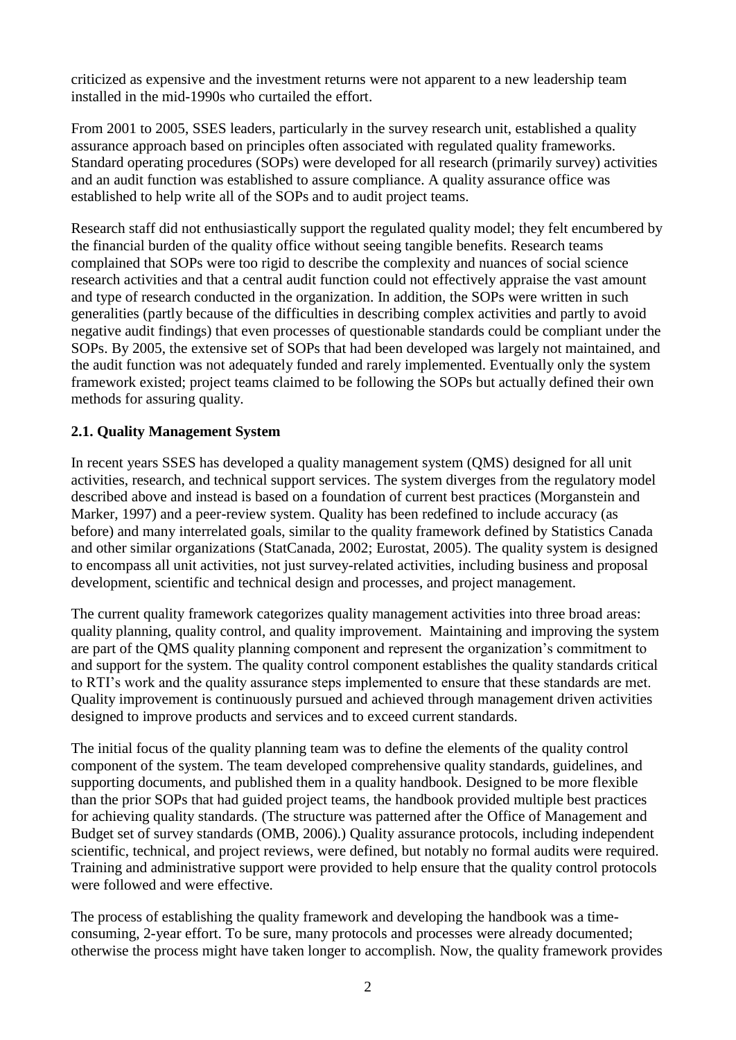criticized as expensive and the investment returns were not apparent to a new leadership team installed in the mid-1990s who curtailed the effort.

From 2001 to 2005, SSES leaders, particularly in the survey research unit, established a quality assurance approach based on principles often associated with regulated quality frameworks. Standard operating procedures (SOPs) were developed for all research (primarily survey) activities and an audit function was established to assure compliance. A quality assurance office was established to help write all of the SOPs and to audit project teams.

Research staff did not enthusiastically support the regulated quality model; they felt encumbered by the financial burden of the quality office without seeing tangible benefits. Research teams complained that SOPs were too rigid to describe the complexity and nuances of social science research activities and that a central audit function could not effectively appraise the vast amount and type of research conducted in the organization. In addition, the SOPs were written in such generalities (partly because of the difficulties in describing complex activities and partly to avoid negative audit findings) that even processes of questionable standards could be compliant under the SOPs. By 2005, the extensive set of SOPs that had been developed was largely not maintained, and the audit function was not adequately funded and rarely implemented. Eventually only the system framework existed; project teams claimed to be following the SOPs but actually defined their own methods for assuring quality.

# **2.1. Quality Management System**

In recent years SSES has developed a quality management system (QMS) designed for all unit activities, research, and technical support services. The system diverges from the regulatory model described above and instead is based on a foundation of current best practices (Morganstein and Marker, 1997) and a peer-review system. Quality has been redefined to include accuracy (as before) and many interrelated goals, similar to the quality framework defined by Statistics Canada and other similar organizations (StatCanada, 2002; Eurostat, 2005). The quality system is designed to encompass all unit activities, not just survey-related activities, including business and proposal development, scientific and technical design and processes, and project management.

The current quality framework categorizes quality management activities into three broad areas: quality planning, quality control, and quality improvement. Maintaining and improving the system are part of the QMS quality planning component and represent the organization's commitment to and support for the system. The quality control component establishes the quality standards critical to RTI's work and the quality assurance steps implemented to ensure that these standards are met. Quality improvement is continuously pursued and achieved through management driven activities designed to improve products and services and to exceed current standards.

The initial focus of the quality planning team was to define the elements of the quality control component of the system. The team developed comprehensive quality standards, guidelines, and supporting documents, and published them in a quality handbook. Designed to be more flexible than the prior SOPs that had guided project teams, the handbook provided multiple best practices for achieving quality standards. (The structure was patterned after the Office of Management and Budget set of survey standards (OMB, 2006).) Quality assurance protocols, including independent scientific, technical, and project reviews, were defined, but notably no formal audits were required. Training and administrative support were provided to help ensure that the quality control protocols were followed and were effective.

The process of establishing the quality framework and developing the handbook was a timeconsuming, 2-year effort. To be sure, many protocols and processes were already documented; otherwise the process might have taken longer to accomplish. Now, the quality framework provides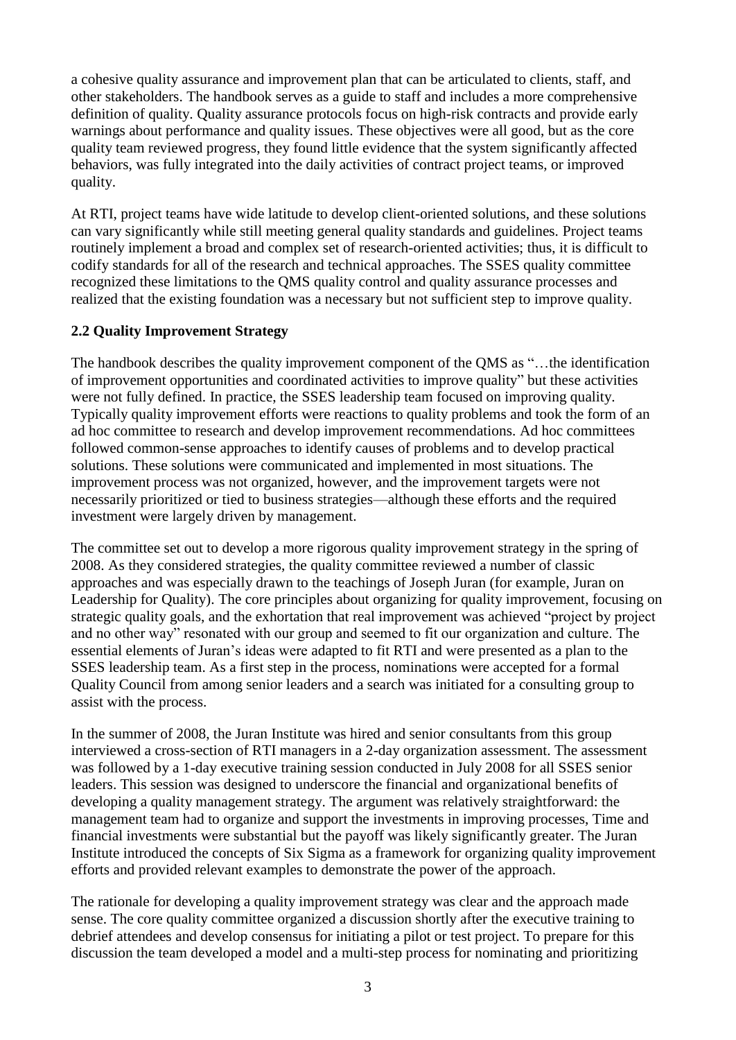a cohesive quality assurance and improvement plan that can be articulated to clients, staff, and other stakeholders. The handbook serves as a guide to staff and includes a more comprehensive definition of quality. Quality assurance protocols focus on high-risk contracts and provide early warnings about performance and quality issues. These objectives were all good, but as the core quality team reviewed progress, they found little evidence that the system significantly affected behaviors, was fully integrated into the daily activities of contract project teams, or improved quality.

At RTI, project teams have wide latitude to develop client-oriented solutions, and these solutions can vary significantly while still meeting general quality standards and guidelines. Project teams routinely implement a broad and complex set of research-oriented activities; thus, it is difficult to codify standards for all of the research and technical approaches. The SSES quality committee recognized these limitations to the QMS quality control and quality assurance processes and realized that the existing foundation was a necessary but not sufficient step to improve quality.

# **2.2 Quality Improvement Strategy**

The handbook describes the quality improvement component of the QMS as "...the identification of improvement opportunities and coordinated activities to improve quality" but these activities were not fully defined. In practice, the SSES leadership team focused on improving quality. Typically quality improvement efforts were reactions to quality problems and took the form of an ad hoc committee to research and develop improvement recommendations. Ad hoc committees followed common-sense approaches to identify causes of problems and to develop practical solutions. These solutions were communicated and implemented in most situations. The improvement process was not organized, however, and the improvement targets were not necessarily prioritized or tied to business strategies—although these efforts and the required investment were largely driven by management.

The committee set out to develop a more rigorous quality improvement strategy in the spring of 2008. As they considered strategies, the quality committee reviewed a number of classic approaches and was especially drawn to the teachings of Joseph Juran (for example, Juran on Leadership for Quality). The core principles about organizing for quality improvement, focusing on strategic quality goals, and the exhortation that real improvement was achieved "project by project and no other way" resonated with our group and seemed to fit our organization and culture. The essential elements of Juran's ideas were adapted to fit RTI and were presented as a plan to the SSES leadership team. As a first step in the process, nominations were accepted for a formal Quality Council from among senior leaders and a search was initiated for a consulting group to assist with the process.

In the summer of 2008, the Juran Institute was hired and senior consultants from this group interviewed a cross-section of RTI managers in a 2-day organization assessment. The assessment was followed by a 1-day executive training session conducted in July 2008 for all SSES senior leaders. This session was designed to underscore the financial and organizational benefits of developing a quality management strategy. The argument was relatively straightforward: the management team had to organize and support the investments in improving processes, Time and financial investments were substantial but the payoff was likely significantly greater. The Juran Institute introduced the concepts of Six Sigma as a framework for organizing quality improvement efforts and provided relevant examples to demonstrate the power of the approach.

The rationale for developing a quality improvement strategy was clear and the approach made sense. The core quality committee organized a discussion shortly after the executive training to debrief attendees and develop consensus for initiating a pilot or test project. To prepare for this discussion the team developed a model and a multi-step process for nominating and prioritizing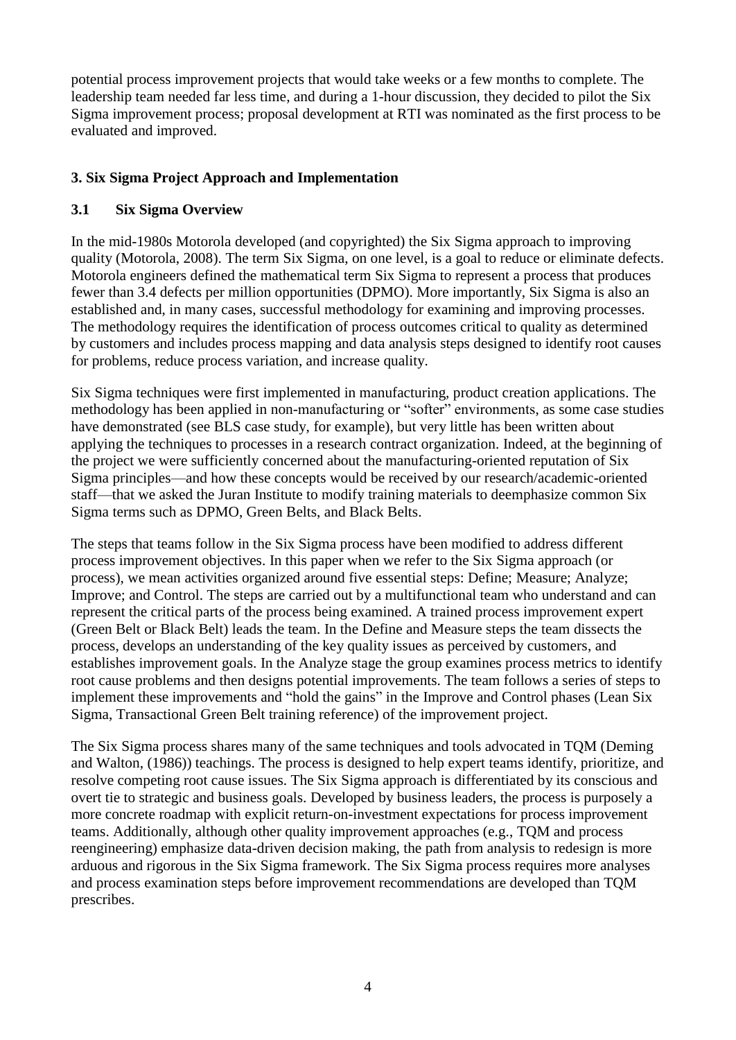potential process improvement projects that would take weeks or a few months to complete. The leadership team needed far less time, and during a 1-hour discussion, they decided to pilot the Six Sigma improvement process; proposal development at RTI was nominated as the first process to be evaluated and improved.

# **3. Six Sigma Project Approach and Implementation**

# **3.1 Six Sigma Overview**

In the mid-1980s Motorola developed (and copyrighted) the Six Sigma approach to improving quality (Motorola, 2008). The term Six Sigma, on one level, is a goal to reduce or eliminate defects. Motorola engineers defined the mathematical term Six Sigma to represent a process that produces fewer than 3.4 defects per million opportunities (DPMO). More importantly, Six Sigma is also an established and, in many cases, successful methodology for examining and improving processes. The methodology requires the identification of process outcomes critical to quality as determined by customers and includes process mapping and data analysis steps designed to identify root causes for problems, reduce process variation, and increase quality.

Six Sigma techniques were first implemented in manufacturing, product creation applications. The methodology has been applied in non-manufacturing or "softer" environments, as some case studies have demonstrated (see BLS case study, for example), but very little has been written about applying the techniques to processes in a research contract organization. Indeed, at the beginning of the project we were sufficiently concerned about the manufacturing-oriented reputation of Six Sigma principles—and how these concepts would be received by our research/academic-oriented staff—that we asked the Juran Institute to modify training materials to deemphasize common Six Sigma terms such as DPMO, Green Belts, and Black Belts.

The steps that teams follow in the Six Sigma process have been modified to address different process improvement objectives. In this paper when we refer to the Six Sigma approach (or process), we mean activities organized around five essential steps: Define; Measure; Analyze; Improve; and Control. The steps are carried out by a multifunctional team who understand and can represent the critical parts of the process being examined. A trained process improvement expert (Green Belt or Black Belt) leads the team. In the Define and Measure steps the team dissects the process, develops an understanding of the key quality issues as perceived by customers, and establishes improvement goals. In the Analyze stage the group examines process metrics to identify root cause problems and then designs potential improvements. The team follows a series of steps to implement these improvements and "hold the gains" in the Improve and Control phases (Lean Six Sigma, Transactional Green Belt training reference) of the improvement project.

The Six Sigma process shares many of the same techniques and tools advocated in TQM (Deming and Walton, (1986)) teachings. The process is designed to help expert teams identify, prioritize, and resolve competing root cause issues. The Six Sigma approach is differentiated by its conscious and overt tie to strategic and business goals. Developed by business leaders, the process is purposely a more concrete roadmap with explicit return-on-investment expectations for process improvement teams. Additionally, although other quality improvement approaches (e.g., TQM and process reengineering) emphasize data-driven decision making, the path from analysis to redesign is more arduous and rigorous in the Six Sigma framework. The Six Sigma process requires more analyses and process examination steps before improvement recommendations are developed than TQM prescribes.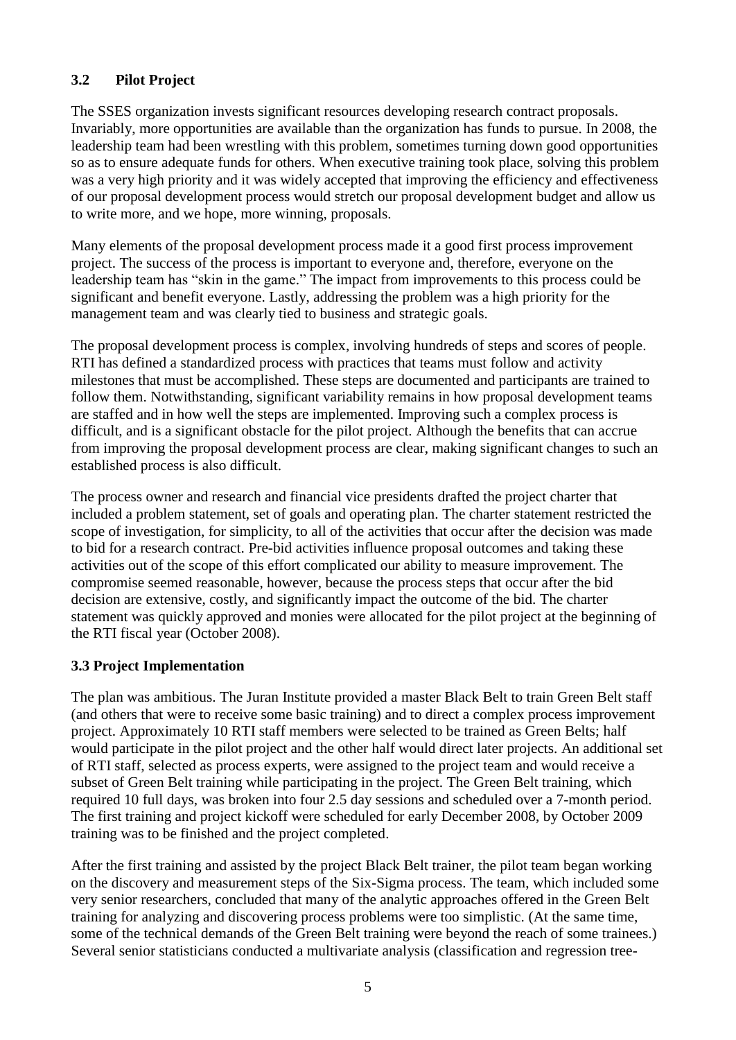# **3.2 Pilot Project**

The SSES organization invests significant resources developing research contract proposals. Invariably, more opportunities are available than the organization has funds to pursue. In 2008, the leadership team had been wrestling with this problem, sometimes turning down good opportunities so as to ensure adequate funds for others. When executive training took place, solving this problem was a very high priority and it was widely accepted that improving the efficiency and effectiveness of our proposal development process would stretch our proposal development budget and allow us to write more, and we hope, more winning, proposals.

Many elements of the proposal development process made it a good first process improvement project. The success of the process is important to everyone and, therefore, everyone on the leadership team has "skin in the game." The impact from improvements to this process could be significant and benefit everyone. Lastly, addressing the problem was a high priority for the management team and was clearly tied to business and strategic goals.

The proposal development process is complex, involving hundreds of steps and scores of people. RTI has defined a standardized process with practices that teams must follow and activity milestones that must be accomplished. These steps are documented and participants are trained to follow them. Notwithstanding, significant variability remains in how proposal development teams are staffed and in how well the steps are implemented. Improving such a complex process is difficult, and is a significant obstacle for the pilot project. Although the benefits that can accrue from improving the proposal development process are clear, making significant changes to such an established process is also difficult.

The process owner and research and financial vice presidents drafted the project charter that included a problem statement, set of goals and operating plan. The charter statement restricted the scope of investigation, for simplicity, to all of the activities that occur after the decision was made to bid for a research contract. Pre-bid activities influence proposal outcomes and taking these activities out of the scope of this effort complicated our ability to measure improvement. The compromise seemed reasonable, however, because the process steps that occur after the bid decision are extensive, costly, and significantly impact the outcome of the bid. The charter statement was quickly approved and monies were allocated for the pilot project at the beginning of the RTI fiscal year (October 2008).

# **3.3 Project Implementation**

The plan was ambitious. The Juran Institute provided a master Black Belt to train Green Belt staff (and others that were to receive some basic training) and to direct a complex process improvement project. Approximately 10 RTI staff members were selected to be trained as Green Belts; half would participate in the pilot project and the other half would direct later projects. An additional set of RTI staff, selected as process experts, were assigned to the project team and would receive a subset of Green Belt training while participating in the project. The Green Belt training, which required 10 full days, was broken into four 2.5 day sessions and scheduled over a 7-month period. The first training and project kickoff were scheduled for early December 2008, by October 2009 training was to be finished and the project completed.

After the first training and assisted by the project Black Belt trainer, the pilot team began working on the discovery and measurement steps of the Six-Sigma process. The team, which included some very senior researchers, concluded that many of the analytic approaches offered in the Green Belt training for analyzing and discovering process problems were too simplistic. (At the same time, some of the technical demands of the Green Belt training were beyond the reach of some trainees.) Several senior statisticians conducted a multivariate analysis (classification and regression tree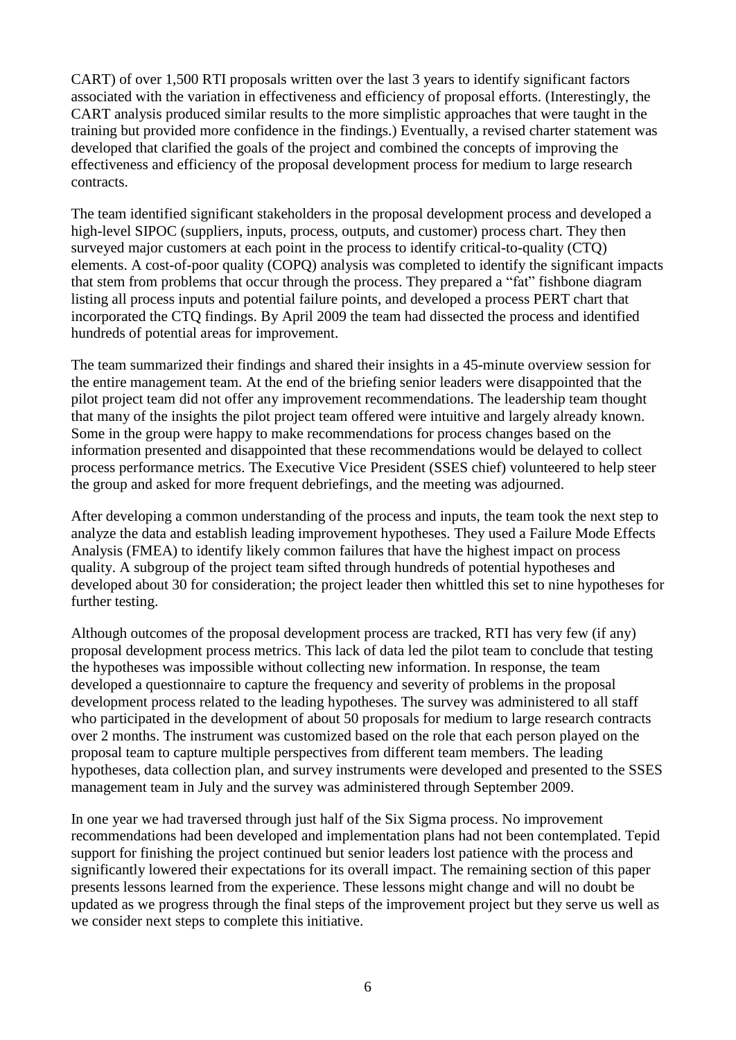CART) of over 1,500 RTI proposals written over the last 3 years to identify significant factors associated with the variation in effectiveness and efficiency of proposal efforts. (Interestingly, the CART analysis produced similar results to the more simplistic approaches that were taught in the training but provided more confidence in the findings.) Eventually, a revised charter statement was developed that clarified the goals of the project and combined the concepts of improving the effectiveness and efficiency of the proposal development process for medium to large research contracts.

The team identified significant stakeholders in the proposal development process and developed a high-level SIPOC (suppliers, inputs, process, outputs, and customer) process chart. They then surveyed major customers at each point in the process to identify critical-to-quality (CTQ) elements. A cost-of-poor quality (COPQ) analysis was completed to identify the significant impacts that stem from problems that occur through the process. They prepared a "fat" fishbone diagram listing all process inputs and potential failure points, and developed a process PERT chart that incorporated the CTQ findings. By April 2009 the team had dissected the process and identified hundreds of potential areas for improvement.

The team summarized their findings and shared their insights in a 45-minute overview session for the entire management team. At the end of the briefing senior leaders were disappointed that the pilot project team did not offer any improvement recommendations. The leadership team thought that many of the insights the pilot project team offered were intuitive and largely already known. Some in the group were happy to make recommendations for process changes based on the information presented and disappointed that these recommendations would be delayed to collect process performance metrics. The Executive Vice President (SSES chief) volunteered to help steer the group and asked for more frequent debriefings, and the meeting was adjourned.

After developing a common understanding of the process and inputs, the team took the next step to analyze the data and establish leading improvement hypotheses. They used a Failure Mode Effects Analysis (FMEA) to identify likely common failures that have the highest impact on process quality. A subgroup of the project team sifted through hundreds of potential hypotheses and developed about 30 for consideration; the project leader then whittled this set to nine hypotheses for further testing.

Although outcomes of the proposal development process are tracked, RTI has very few (if any) proposal development process metrics. This lack of data led the pilot team to conclude that testing the hypotheses was impossible without collecting new information. In response, the team developed a questionnaire to capture the frequency and severity of problems in the proposal development process related to the leading hypotheses. The survey was administered to all staff who participated in the development of about 50 proposals for medium to large research contracts over 2 months. The instrument was customized based on the role that each person played on the proposal team to capture multiple perspectives from different team members. The leading hypotheses, data collection plan, and survey instruments were developed and presented to the SSES management team in July and the survey was administered through September 2009.

In one year we had traversed through just half of the Six Sigma process. No improvement recommendations had been developed and implementation plans had not been contemplated. Tepid support for finishing the project continued but senior leaders lost patience with the process and significantly lowered their expectations for its overall impact. The remaining section of this paper presents lessons learned from the experience. These lessons might change and will no doubt be updated as we progress through the final steps of the improvement project but they serve us well as we consider next steps to complete this initiative.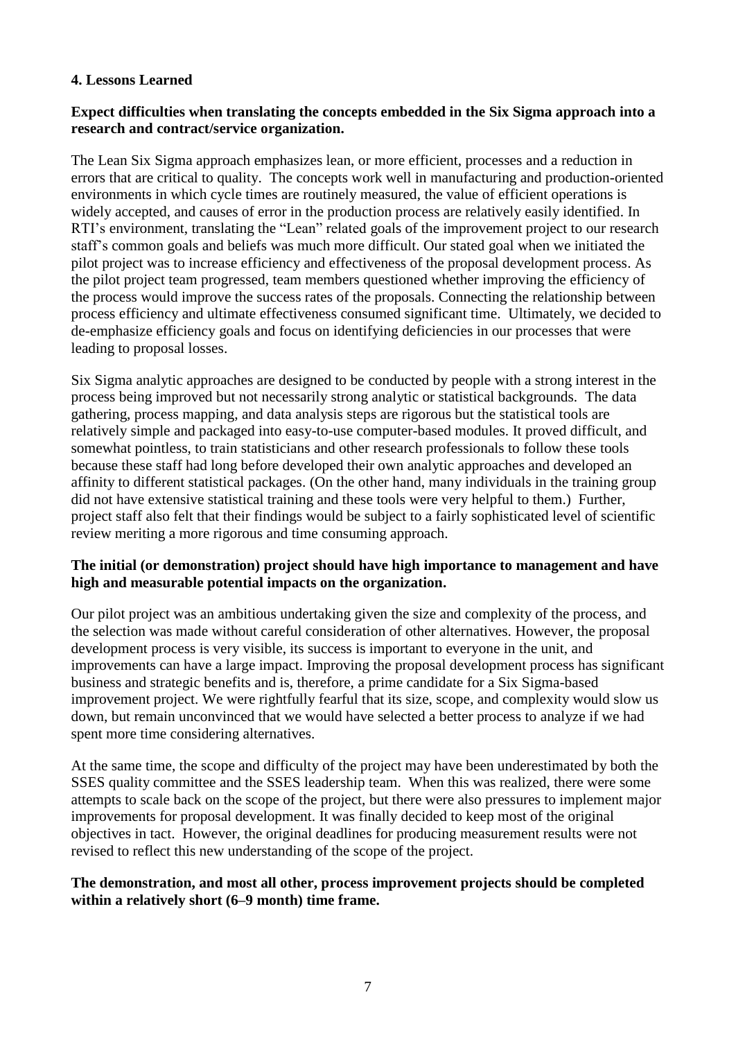## **4. Lessons Learned**

## **Expect difficulties when translating the concepts embedded in the Six Sigma approach into a research and contract/service organization.**

The Lean Six Sigma approach emphasizes lean, or more efficient, processes and a reduction in errors that are critical to quality. The concepts work well in manufacturing and production-oriented environments in which cycle times are routinely measured, the value of efficient operations is widely accepted, and causes of error in the production process are relatively easily identified. In RTI's environment, translating the "Lean" related goals of the improvement project to our research staff's common goals and beliefs was much more difficult. Our stated goal when we initiated the pilot project was to increase efficiency and effectiveness of the proposal development process. As the pilot project team progressed, team members questioned whether improving the efficiency of the process would improve the success rates of the proposals. Connecting the relationship between process efficiency and ultimate effectiveness consumed significant time. Ultimately, we decided to de-emphasize efficiency goals and focus on identifying deficiencies in our processes that were leading to proposal losses.

Six Sigma analytic approaches are designed to be conducted by people with a strong interest in the process being improved but not necessarily strong analytic or statistical backgrounds. The data gathering, process mapping, and data analysis steps are rigorous but the statistical tools are relatively simple and packaged into easy-to-use computer-based modules. It proved difficult, and somewhat pointless, to train statisticians and other research professionals to follow these tools because these staff had long before developed their own analytic approaches and developed an affinity to different statistical packages. (On the other hand, many individuals in the training group did not have extensive statistical training and these tools were very helpful to them.) Further, project staff also felt that their findings would be subject to a fairly sophisticated level of scientific review meriting a more rigorous and time consuming approach.

## **The initial (or demonstration) project should have high importance to management and have high and measurable potential impacts on the organization.**

Our pilot project was an ambitious undertaking given the size and complexity of the process, and the selection was made without careful consideration of other alternatives. However, the proposal development process is very visible, its success is important to everyone in the unit, and improvements can have a large impact. Improving the proposal development process has significant business and strategic benefits and is, therefore, a prime candidate for a Six Sigma-based improvement project. We were rightfully fearful that its size, scope, and complexity would slow us down, but remain unconvinced that we would have selected a better process to analyze if we had spent more time considering alternatives.

At the same time, the scope and difficulty of the project may have been underestimated by both the SSES quality committee and the SSES leadership team. When this was realized, there were some attempts to scale back on the scope of the project, but there were also pressures to implement major improvements for proposal development. It was finally decided to keep most of the original objectives in tact. However, the original deadlines for producing measurement results were not revised to reflect this new understanding of the scope of the project.

#### **The demonstration, and most all other, process improvement projects should be completed within a relatively short (6–9 month) time frame.**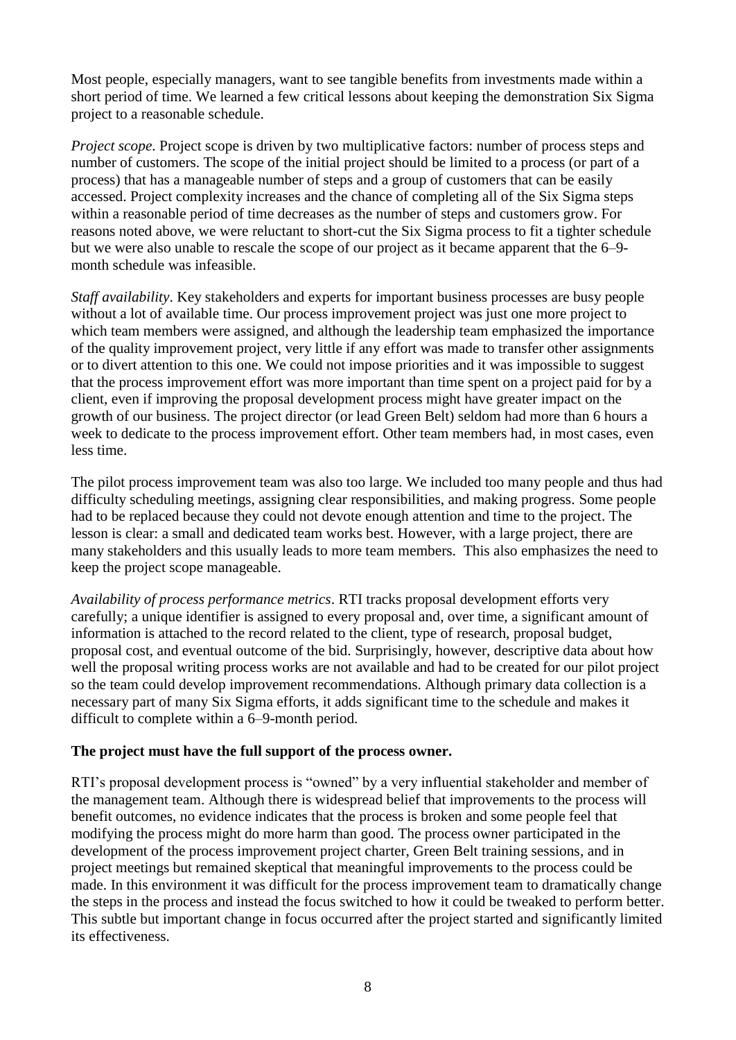Most people, especially managers, want to see tangible benefits from investments made within a short period of time. We learned a few critical lessons about keeping the demonstration Six Sigma project to a reasonable schedule.

*Project scope*. Project scope is driven by two multiplicative factors: number of process steps and number of customers. The scope of the initial project should be limited to a process (or part of a process) that has a manageable number of steps and a group of customers that can be easily accessed. Project complexity increases and the chance of completing all of the Six Sigma steps within a reasonable period of time decreases as the number of steps and customers grow. For reasons noted above, we were reluctant to short-cut the Six Sigma process to fit a tighter schedule but we were also unable to rescale the scope of our project as it became apparent that the 6–9 month schedule was infeasible.

*Staff availability*. Key stakeholders and experts for important business processes are busy people without a lot of available time. Our process improvement project was just one more project to which team members were assigned, and although the leadership team emphasized the importance of the quality improvement project, very little if any effort was made to transfer other assignments or to divert attention to this one. We could not impose priorities and it was impossible to suggest that the process improvement effort was more important than time spent on a project paid for by a client, even if improving the proposal development process might have greater impact on the growth of our business. The project director (or lead Green Belt) seldom had more than 6 hours a week to dedicate to the process improvement effort. Other team members had, in most cases, even less time.

The pilot process improvement team was also too large. We included too many people and thus had difficulty scheduling meetings, assigning clear responsibilities, and making progress. Some people had to be replaced because they could not devote enough attention and time to the project. The lesson is clear: a small and dedicated team works best. However, with a large project, there are many stakeholders and this usually leads to more team members. This also emphasizes the need to keep the project scope manageable.

*Availability of process performance metrics*. RTI tracks proposal development efforts very carefully; a unique identifier is assigned to every proposal and, over time, a significant amount of information is attached to the record related to the client, type of research, proposal budget, proposal cost, and eventual outcome of the bid. Surprisingly, however, descriptive data about how well the proposal writing process works are not available and had to be created for our pilot project so the team could develop improvement recommendations. Although primary data collection is a necessary part of many Six Sigma efforts, it adds significant time to the schedule and makes it difficult to complete within a 6–9-month period.

#### **The project must have the full support of the process owner.**

RTI's proposal development process is "owned" by a very influential stakeholder and member of the management team. Although there is widespread belief that improvements to the process will benefit outcomes, no evidence indicates that the process is broken and some people feel that modifying the process might do more harm than good. The process owner participated in the development of the process improvement project charter, Green Belt training sessions, and in project meetings but remained skeptical that meaningful improvements to the process could be made. In this environment it was difficult for the process improvement team to dramatically change the steps in the process and instead the focus switched to how it could be tweaked to perform better. This subtle but important change in focus occurred after the project started and significantly limited its effectiveness.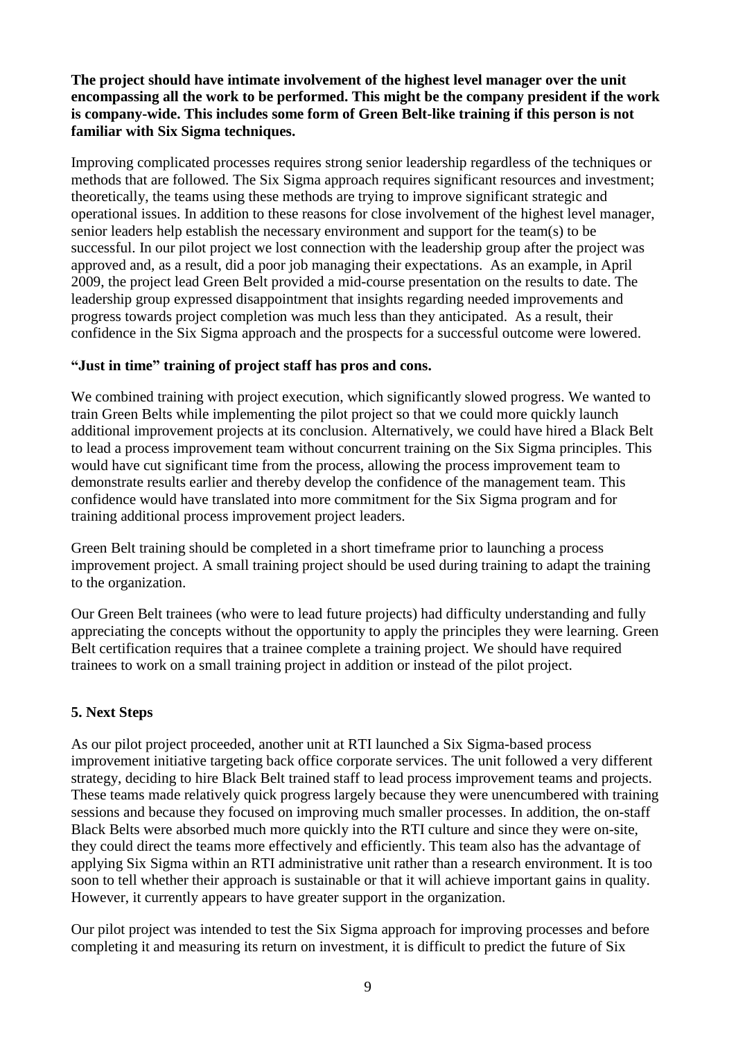**The project should have intimate involvement of the highest level manager over the unit encompassing all the work to be performed. This might be the company president if the work is company-wide. This includes some form of Green Belt-like training if this person is not familiar with Six Sigma techniques.**

Improving complicated processes requires strong senior leadership regardless of the techniques or methods that are followed. The Six Sigma approach requires significant resources and investment; theoretically, the teams using these methods are trying to improve significant strategic and operational issues. In addition to these reasons for close involvement of the highest level manager, senior leaders help establish the necessary environment and support for the team(s) to be successful. In our pilot project we lost connection with the leadership group after the project was approved and, as a result, did a poor job managing their expectations. As an example, in April 2009, the project lead Green Belt provided a mid-course presentation on the results to date. The leadership group expressed disappointment that insights regarding needed improvements and progress towards project completion was much less than they anticipated. As a result, their confidence in the Six Sigma approach and the prospects for a successful outcome were lowered.

## **"Just in time" training of project staff has pros and cons.**

We combined training with project execution, which significantly slowed progress. We wanted to train Green Belts while implementing the pilot project so that we could more quickly launch additional improvement projects at its conclusion. Alternatively, we could have hired a Black Belt to lead a process improvement team without concurrent training on the Six Sigma principles. This would have cut significant time from the process, allowing the process improvement team to demonstrate results earlier and thereby develop the confidence of the management team. This confidence would have translated into more commitment for the Six Sigma program and for training additional process improvement project leaders.

Green Belt training should be completed in a short timeframe prior to launching a process improvement project. A small training project should be used during training to adapt the training to the organization.

Our Green Belt trainees (who were to lead future projects) had difficulty understanding and fully appreciating the concepts without the opportunity to apply the principles they were learning. Green Belt certification requires that a trainee complete a training project. We should have required trainees to work on a small training project in addition or instead of the pilot project.

# **5. Next Steps**

As our pilot project proceeded, another unit at RTI launched a Six Sigma-based process improvement initiative targeting back office corporate services. The unit followed a very different strategy, deciding to hire Black Belt trained staff to lead process improvement teams and projects. These teams made relatively quick progress largely because they were unencumbered with training sessions and because they focused on improving much smaller processes. In addition, the on-staff Black Belts were absorbed much more quickly into the RTI culture and since they were on-site, they could direct the teams more effectively and efficiently. This team also has the advantage of applying Six Sigma within an RTI administrative unit rather than a research environment. It is too soon to tell whether their approach is sustainable or that it will achieve important gains in quality. However, it currently appears to have greater support in the organization.

Our pilot project was intended to test the Six Sigma approach for improving processes and before completing it and measuring its return on investment, it is difficult to predict the future of Six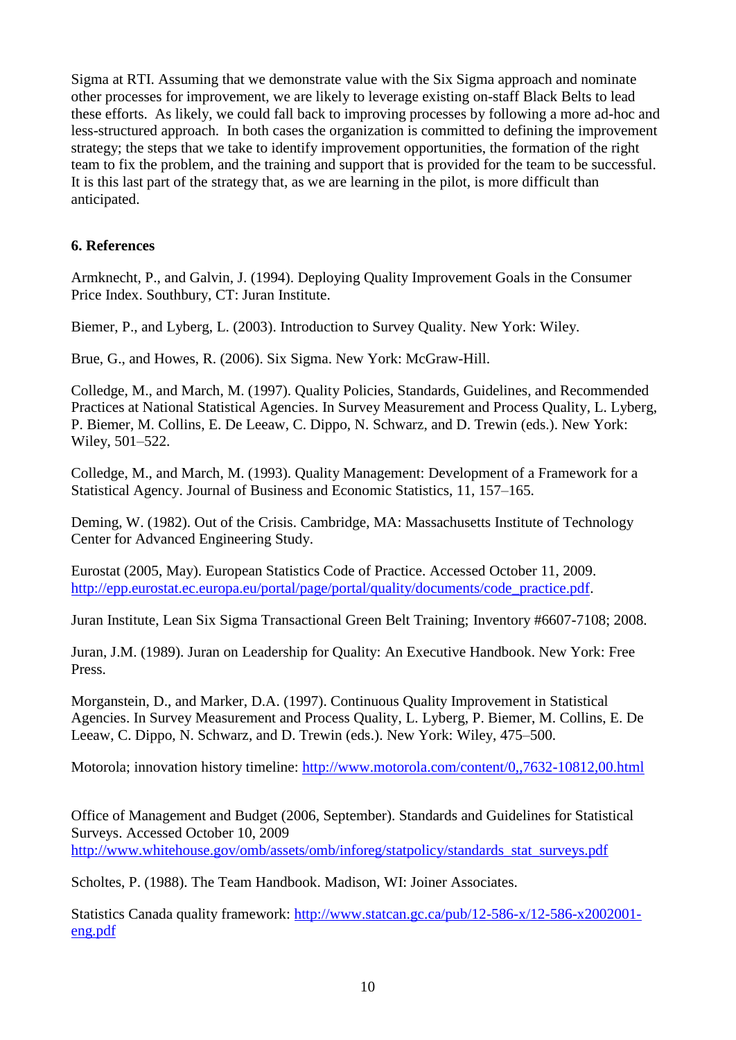Sigma at RTI. Assuming that we demonstrate value with the Six Sigma approach and nominate other processes for improvement, we are likely to leverage existing on-staff Black Belts to lead these efforts. As likely, we could fall back to improving processes by following a more ad-hoc and less-structured approach. In both cases the organization is committed to defining the improvement strategy; the steps that we take to identify improvement opportunities, the formation of the right team to fix the problem, and the training and support that is provided for the team to be successful. It is this last part of the strategy that, as we are learning in the pilot, is more difficult than anticipated.

## **6. References**

Armknecht, P., and Galvin, J. (1994). Deploying Quality Improvement Goals in the Consumer Price Index. Southbury, CT: Juran Institute.

Biemer, P., and Lyberg, L. (2003). Introduction to Survey Quality. New York: Wiley.

Brue, G., and Howes, R. (2006). Six Sigma. New York: McGraw-Hill.

Colledge, M., and March, M. (1997). Quality Policies, Standards, Guidelines, and Recommended Practices at National Statistical Agencies. In Survey Measurement and Process Quality, L. Lyberg, P. Biemer, M. Collins, E. De Leeaw, C. Dippo, N. Schwarz, and D. Trewin (eds.). New York: Wiley, 501–522.

Colledge, M., and March, M. (1993). Quality Management: Development of a Framework for a Statistical Agency. Journal of Business and Economic Statistics, 11, 157–165.

Deming, W. (1982). Out of the Crisis. Cambridge, MA: Massachusetts Institute of Technology Center for Advanced Engineering Study.

Eurostat (2005, May). European Statistics Code of Practice. Accessed October 11, 2009. [http://epp.eurostat.ec.europa.eu/portal/page/portal/quality/documents/code\\_practice.pdf.](http://epp.eurostat.ec.europa.eu/portal/page/portal/quality/documents/code_practice.pdf)

Juran Institute, Lean Six Sigma Transactional Green Belt Training; Inventory #6607-7108; 2008.

Juran, J.M. (1989). Juran on Leadership for Quality: An Executive Handbook. New York: Free Press.

Morganstein, D., and Marker, D.A. (1997). Continuous Quality Improvement in Statistical Agencies. In Survey Measurement and Process Quality, L. Lyberg, P. Biemer, M. Collins, E. De Leeaw, C. Dippo, N. Schwarz, and D. Trewin (eds.). New York: Wiley, 475–500.

Motorola; innovation history timeline:<http://www.motorola.com/content/0,,7632-10812,00.html>

Office of Management and Budget (2006, September). Standards and Guidelines for Statistical Surveys. Accessed October 10, 2009 [http://www.whitehouse.gov/omb/assets/omb/inforeg/statpolicy/standards\\_stat\\_surveys.pdf](http://www.whitehouse.gov/omb/assets/omb/inforeg/statpolicy/standards_stat_surveys.pdf)

Scholtes, P. (1988). The Team Handbook. Madison, WI: Joiner Associates.

Statistics Canada quality framework: [http://www.statcan.gc.ca/pub/12-586-x/12-586-x2002001](http://www.statcan.gc.ca/pub/12-586-x/12-586-x2002001-eng.pdf) [eng.pdf](http://www.statcan.gc.ca/pub/12-586-x/12-586-x2002001-eng.pdf)